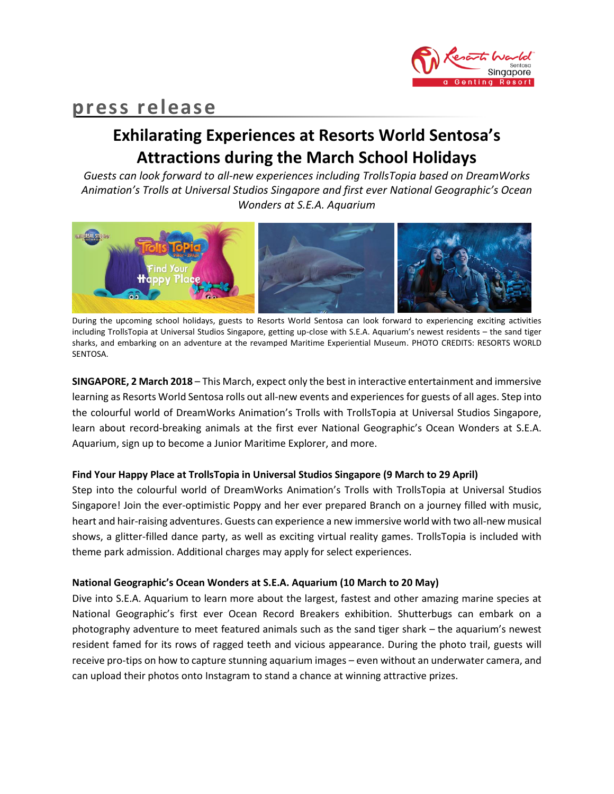

# **press release**

# **Exhilarating Experiences at Resorts World Sentosa's Attractions during the March School Holidays**

*Guests can look forward to all-new experiences including TrollsTopia based on DreamWorks Animation's Trolls at Universal Studios Singapore and first ever National Geographic's Ocean Wonders at S.E.A. Aquarium*



During the upcoming school holidays, guests to Resorts World Sentosa can look forward to experiencing exciting activities including TrollsTopia at Universal Studios Singapore, getting up-close with S.E.A. Aquarium's newest residents – the sand tiger sharks, and embarking on an adventure at the revamped Maritime Experiential Museum. PHOTO CREDITS: RESORTS WORLD SENTOSA.

**SINGAPORE, 2 March 2018** – This March, expect only the best in interactive entertainment and immersive learning as Resorts World Sentosa rolls out all-new events and experiences for guests of all ages. Step into the colourful world of DreamWorks Animation's Trolls with TrollsTopia at Universal Studios Singapore, learn about record-breaking animals at the first ever National Geographic's Ocean Wonders at S.E.A. Aquarium, sign up to become a Junior Maritime Explorer, and more.

# **Find Your Happy Place at TrollsTopia in Universal Studios Singapore (9 March to 29 April)**

Step into the colourful world of DreamWorks Animation's Trolls with TrollsTopia at Universal Studios Singapore! Join the ever-optimistic Poppy and her ever prepared Branch on a journey filled with music, heart and hair-raising adventures. Guests can experience a new immersive world with two all-new musical shows, a glitter-filled dance party, as well as exciting virtual reality games. TrollsTopia is included with theme park admission. Additional charges may apply for select experiences.

## **National Geographic's Ocean Wonders at S.E.A. Aquarium (10 March to 20 May)**

Dive into S.E.A. Aquarium to learn more about the largest, fastest and other amazing marine species at National Geographic's first ever Ocean Record Breakers exhibition. Shutterbugs can embark on a photography adventure to meet featured animals such as the sand tiger shark – the aquarium's newest resident famed for its rows of ragged teeth and vicious appearance. During the photo trail, guests will receive pro-tips on how to capture stunning aquarium images – even without an underwater camera, and can upload their photos onto Instagram to stand a chance at winning attractive prizes.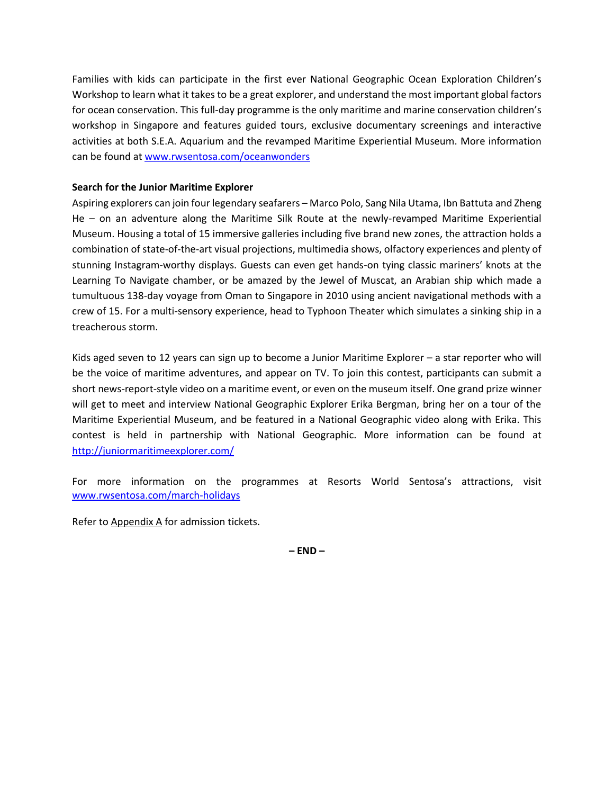Families with kids can participate in the first ever National Geographic Ocean Exploration Children's Workshop to learn what it takes to be a great explorer, and understand the most important global factors for ocean conservation. This full-day programme is the only maritime and marine conservation children's workshop in Singapore and features guided tours, exclusive documentary screenings and interactive activities at both S.E.A. Aquarium and the revamped Maritime Experiential Museum. More information can be found at [www.rwsentosa.com/oceanwonders](http://www.rwsentosa.com/oceanwonders)

# **Search for the Junior Maritime Explorer**

Aspiring explorers can join four legendary seafarers – Marco Polo, Sang Nila Utama, Ibn Battuta and Zheng He – on an adventure along the Maritime Silk Route at the newly-revamped Maritime Experiential Museum. Housing a total of 15 immersive galleries including five brand new zones, the attraction holds a combination of state-of-the-art visual projections, multimedia shows, olfactory experiences and plenty of stunning Instagram-worthy displays. Guests can even get hands-on tying classic mariners' knots at the Learning To Navigate chamber, or be amazed by the Jewel of Muscat, an Arabian ship which made a tumultuous 138-day voyage from Oman to Singapore in 2010 using ancient navigational methods with a crew of 15. For a multi-sensory experience, head to Typhoon Theater which simulates a sinking ship in a treacherous storm.

Kids aged seven to 12 years can sign up to become a Junior Maritime Explorer – a star reporter who will be the voice of maritime adventures, and appear on TV. To join this contest, participants can submit a short news-report-style video on a maritime event, or even on the museum itself. One grand prize winner will get to meet and interview National Geographic Explorer Erika Bergman, bring her on a tour of the Maritime Experiential Museum, and be featured in a National Geographic video along with Erika. This contest is held in partnership with National Geographic. More information can be found at <http://juniormaritimeexplorer.com/>

For more information on the programmes at Resorts World Sentosa's attractions, visit [www.rwsentosa.com/march-holidays](http://www.rwsentosa.com/march-holidays)

Refer to Appendix A for admission tickets.

**– END –**